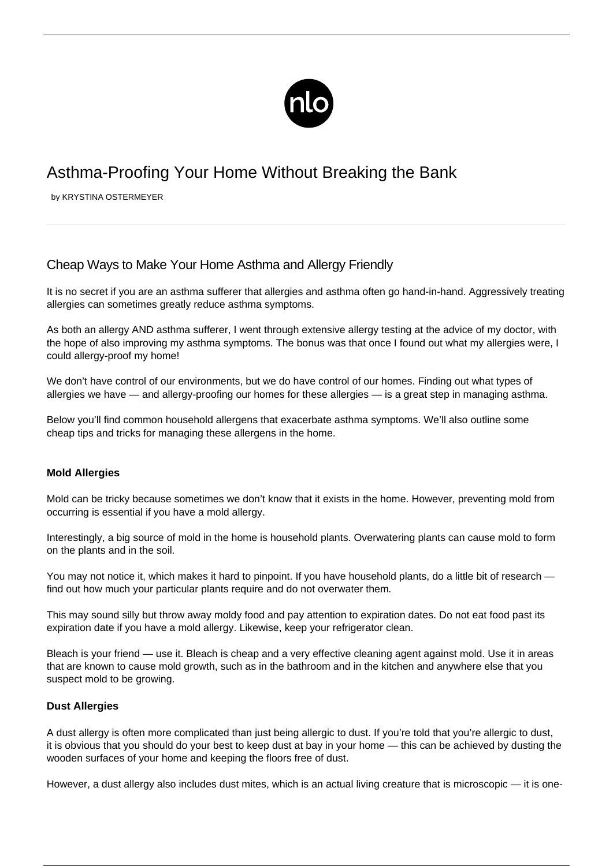

# Asthma-Proofing Your Home Without Breaking the Bank

by KRYSTINA OSTERMEYER

## Cheap Ways to Make Your Home Asthma and Allergy Friendly

It is no secret if you are an asthma sufferer that [allergies and asthma](/asthma-allergies/) often go hand-in-hand. Aggressively treating allergies can sometimes greatly reduce asthma symptoms.

As both an allergy AND asthma sufferer, I went through extensive allergy testing at the advice of my doctor, with the hope of also improving my asthma symptoms. The bonus was that once I found out what my allergies were, I could allergy-proof my home!

We don't have control of our environments, but we do have control of our homes. Finding out what types of allergies we have — and allergy-proofing our homes for these allergies — is a great step in managing asthma.

Below you'll find common household allergens that exacerbate asthma symptoms. We'll also outline some cheap tips and tricks for managing these allergens in the home.

#### **Mold Allergies**

Mold can be tricky because sometimes we don't know that it exists in the home. However, preventing mold from occurring is essential if you have a mold allergy.

Interestingly, a big source of mold in the home is household plants. Overwatering plants can cause mold to form on the plants and in the soil.

You may not notice it, which makes it hard to pinpoint. If you have household plants, do a little bit of research find out how much your particular plants require and do not overwater them.

This may sound silly but throw away moldy food and pay attention to expiration dates. Do not eat food past its expiration date if you have a mold allergy. Likewise, keep your refrigerator clean.

Bleach is your friend — use it. Bleach is cheap and a very effective cleaning agent against mold. Use it in areas that are known to cause mold growth, such as in the bathroom and in the kitchen and anywhere else that you suspect mold to be growing.

#### **Dust Allergies**

A dust allergy is often more complicated than just being allergic to dust. If you're told that you're allergic to dust, it is obvious that you should do your best to keep dust at bay in your home — this can be achieved by dusting the wooden surfaces of your home and keeping the floors free of dust.

However, a dust allergy also includes dust mites, which is an actual living creature that is microscopic — it is one-